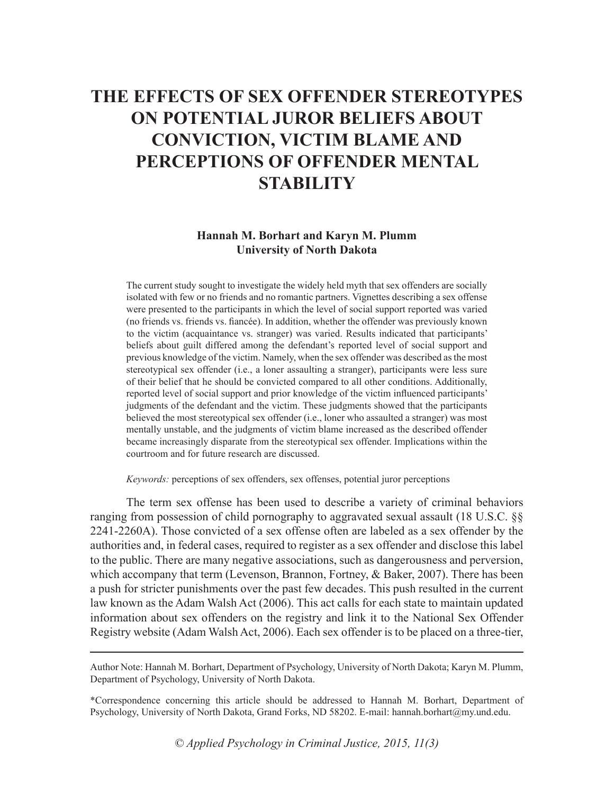# **THE EFFECTS OF SEX OFFENDER STEREOTYPES ON POTENTIAL JUROR BELIEFS ABOUT CONVICTION, VICTIM BLAME AND PERCEPTIONS OF OFFENDER MENTAL STABILITY**

### **Hannah M. Borhart and Karyn M. Plumm University of North Dakota**

The current study sought to investigate the widely held myth that sex offenders are socially isolated with few or no friends and no romantic partners. Vignettes describing a sex offense were presented to the participants in which the level of social support reported was varied (no friends vs. friends vs. fiancée). In addition, whether the offender was previously known to the victim (acquaintance vs. stranger) was varied. Results indicated that participants' beliefs about guilt differed among the defendant's reported level of social support and previous knowledge of the victim. Namely, when the sex offender was described as the most stereotypical sex offender (i.e., a loner assaulting a stranger), participants were less sure of their belief that he should be convicted compared to all other conditions. Additionally, reported level of social support and prior knowledge of the victim influenced participants' judgments of the defendant and the victim. These judgments showed that the participants believed the most stereotypical sex offender (i.e., loner who assaulted a stranger) was most mentally unstable, and the judgments of victim blame increased as the described offender became increasingly disparate from the stereotypical sex offender. Implications within the courtroom and for future research are discussed.

*Keywords:* perceptions of sex offenders, sex offenses, potential juror perceptions

The term sex offense has been used to describe a variety of criminal behaviors ranging from possession of child pornography to aggravated sexual assault (18 U.S.C. §§ 2241-2260A). Those convicted of a sex offense often are labeled as a sex offender by the authorities and, in federal cases, required to register as a sex offender and disclose this label to the public. There are many negative associations, such as dangerousness and perversion, which accompany that term (Levenson, Brannon, Fortney, & Baker, 2007). There has been a push for stricter punishments over the past few decades. This push resulted in the current law known as the Adam Walsh Act (2006). This act calls for each state to maintain updated information about sex offenders on the registry and link it to the National Sex Offender Registry website (Adam Walsh Act, 2006). Each sex offender is to be placed on a three-tier,

Author Note: Hannah M. Borhart, Department of Psychology, University of North Dakota; Karyn M. Plumm, Department of Psychology, University of North Dakota.

<sup>\*</sup>Correspondence concerning this article should be addressed to Hannah M. Borhart, Department of Psychology, University of North Dakota, Grand Forks, ND 58202. E-mail: hannah.borhart@my.und.edu.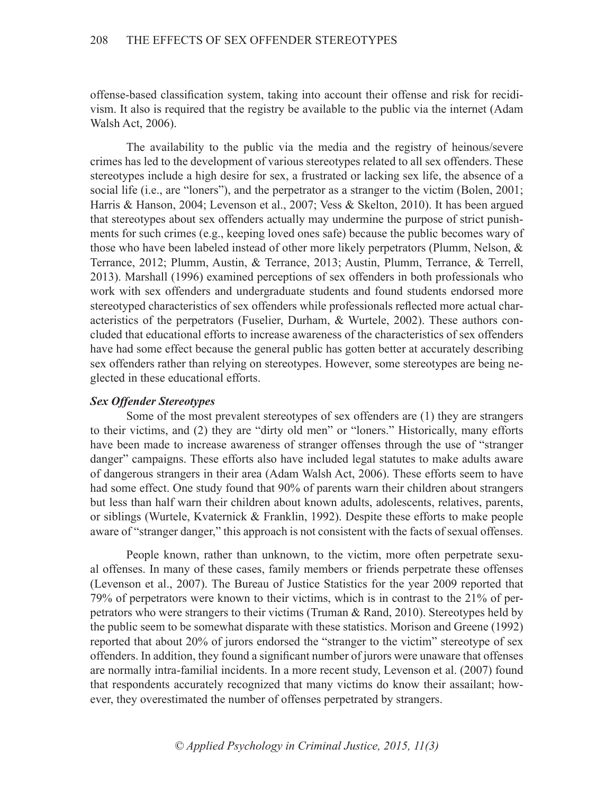offense-based classification system, taking into account their offense and risk for recidivism. It also is required that the registry be available to the public via the internet (Adam Walsh Act, 2006).

The availability to the public via the media and the registry of heinous/severe crimes has led to the development of various stereotypes related to all sex offenders. These stereotypes include a high desire for sex, a frustrated or lacking sex life, the absence of a social life (i.e., are "loners"), and the perpetrator as a stranger to the victim (Bolen, 2001; Harris & Hanson, 2004; Levenson et al., 2007; Vess & Skelton, 2010). It has been argued that stereotypes about sex offenders actually may undermine the purpose of strict punishments for such crimes (e.g., keeping loved ones safe) because the public becomes wary of those who have been labeled instead of other more likely perpetrators (Plumm, Nelson, & Terrance, 2012; Plumm, Austin, & Terrance, 2013; Austin, Plumm, Terrance, & Terrell, 2013). Marshall (1996) examined perceptions of sex offenders in both professionals who work with sex offenders and undergraduate students and found students endorsed more stereotyped characteristics of sex offenders while professionals reflected more actual characteristics of the perpetrators (Fuselier, Durham, & Wurtele, 2002). These authors concluded that educational efforts to increase awareness of the characteristics of sex offenders have had some effect because the general public has gotten better at accurately describing sex offenders rather than relying on stereotypes. However, some stereotypes are being neglected in these educational efforts.

## *Sex Offender Stereotypes*

Some of the most prevalent stereotypes of sex offenders are (1) they are strangers to their victims, and (2) they are "dirty old men" or "loners." Historically, many efforts have been made to increase awareness of stranger offenses through the use of "stranger danger" campaigns. These efforts also have included legal statutes to make adults aware of dangerous strangers in their area (Adam Walsh Act, 2006). These efforts seem to have had some effect. One study found that 90% of parents warn their children about strangers but less than half warn their children about known adults, adolescents, relatives, parents, or siblings (Wurtele, Kvaternick & Franklin, 1992). Despite these efforts to make people aware of "stranger danger," this approach is not consistent with the facts of sexual offenses.

People known, rather than unknown, to the victim, more often perpetrate sexual offenses. In many of these cases, family members or friends perpetrate these offenses (Levenson et al., 2007). The Bureau of Justice Statistics for the year 2009 reported that 79% of perpetrators were known to their victims, which is in contrast to the 21% of perpetrators who were strangers to their victims (Truman & Rand, 2010). Stereotypes held by the public seem to be somewhat disparate with these statistics. Morison and Greene (1992) reported that about 20% of jurors endorsed the "stranger to the victim" stereotype of sex offenders. In addition, they found a significant number of jurors were unaware that offenses are normally intra-familial incidents. In a more recent study, Levenson et al. (2007) found that respondents accurately recognized that many victims do know their assailant; however, they overestimated the number of offenses perpetrated by strangers.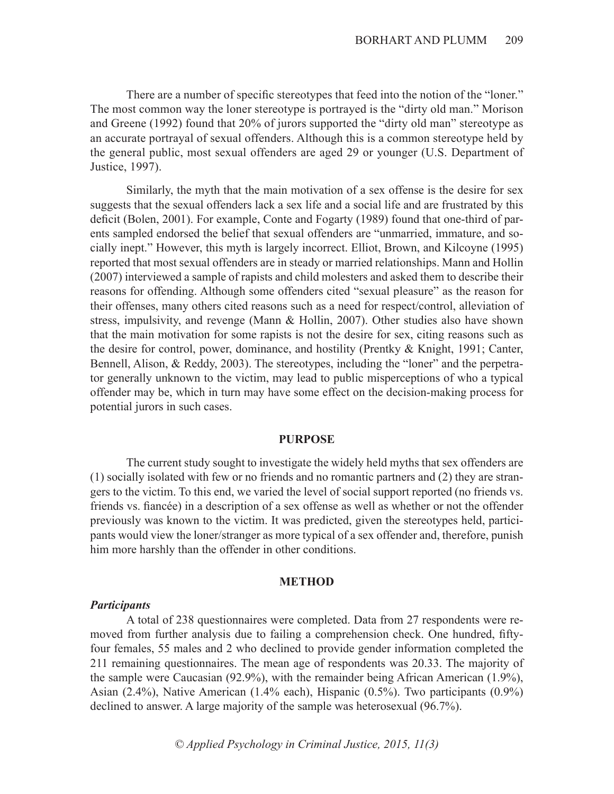There are a number of specific stereotypes that feed into the notion of the "loner." The most common way the loner stereotype is portrayed is the "dirty old man." Morison and Greene (1992) found that 20% of jurors supported the "dirty old man" stereotype as an accurate portrayal of sexual offenders. Although this is a common stereotype held by the general public, most sexual offenders are aged 29 or younger (U.S. Department of Justice, 1997).

Similarly, the myth that the main motivation of a sex offense is the desire for sex suggests that the sexual offenders lack a sex life and a social life and are frustrated by this deficit (Bolen, 2001). For example, Conte and Fogarty (1989) found that one-third of parents sampled endorsed the belief that sexual offenders are "unmarried, immature, and socially inept." However, this myth is largely incorrect. Elliot, Brown, and Kilcoyne (1995) reported that most sexual offenders are in steady or married relationships. Mann and Hollin (2007) interviewed a sample of rapists and child molesters and asked them to describe their reasons for offending. Although some offenders cited "sexual pleasure" as the reason for their offenses, many others cited reasons such as a need for respect/control, alleviation of stress, impulsivity, and revenge (Mann & Hollin, 2007). Other studies also have shown that the main motivation for some rapists is not the desire for sex, citing reasons such as the desire for control, power, dominance, and hostility (Prentky & Knight, 1991; Canter, Bennell, Alison, & Reddy, 2003). The stereotypes, including the "loner" and the perpetrator generally unknown to the victim, may lead to public misperceptions of who a typical offender may be, which in turn may have some effect on the decision-making process for potential jurors in such cases.

### **PURPOSE**

The current study sought to investigate the widely held myths that sex offenders are (1) socially isolated with few or no friends and no romantic partners and (2) they are strangers to the victim. To this end, we varied the level of social support reported (no friends vs. friends vs. fiancée) in a description of a sex offense as well as whether or not the offender previously was known to the victim. It was predicted, given the stereotypes held, participants would view the loner/stranger as more typical of a sex offender and, therefore, punish him more harshly than the offender in other conditions.

### **METHOD**

### *Participants*

A total of 238 questionnaires were completed. Data from 27 respondents were removed from further analysis due to failing a comprehension check. One hundred, fiftyfour females, 55 males and 2 who declined to provide gender information completed the 211 remaining questionnaires. The mean age of respondents was 20.33. The majority of the sample were Caucasian (92.9%), with the remainder being African American (1.9%), Asian (2.4%), Native American (1.4% each), Hispanic (0.5%). Two participants (0.9%) declined to answer. A large majority of the sample was heterosexual (96.7%).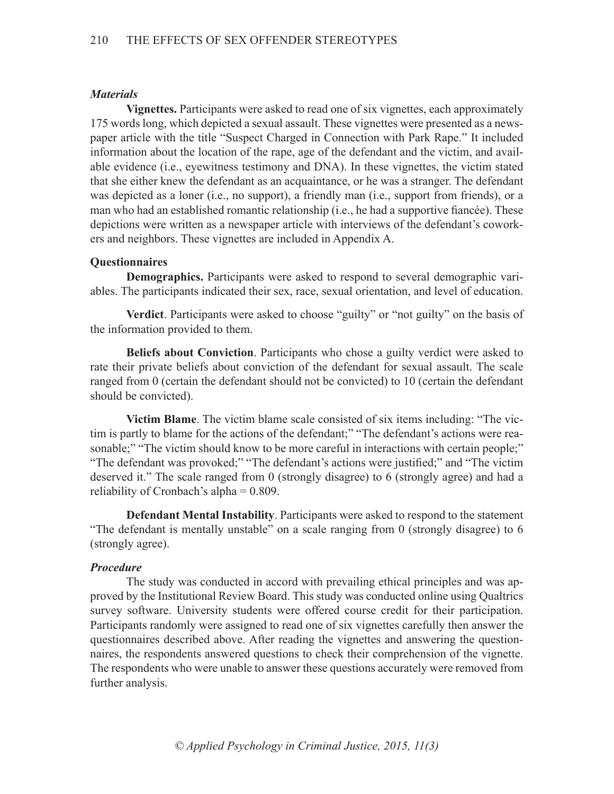# *Materials*

**Vignettes.** Participants were asked to read one of six vignettes, each approximately 175 words long, which depicted a sexual assault. These vignettes were presented as a newspaper article with the title "Suspect Charged in Connection with Park Rape." It included information about the location of the rape, age of the defendant and the victim, and available evidence (i.e., eyewitness testimony and DNA). In these vignettes, the victim stated that she either knew the defendant as an acquaintance, or he was a stranger. The defendant was depicted as a loner (i.e., no support), a friendly man (i.e., support from friends), or a man who had an established romantic relationship (i.e., he had a supportive fiancée). These depictions were written as a newspaper article with interviews of the defendant's coworkers and neighbors. These vignettes are included in Appendix A.

# **Questionnaires**

**Demographics.** Participants were asked to respond to several demographic variables. The participants indicated their sex, race, sexual orientation, and level of education.

**Verdict**. Participants were asked to choose "guilty" or "not guilty" on the basis of the information provided to them.

**Beliefs about Conviction**. Participants who chose a guilty verdict were asked to rate their private beliefs about conviction of the defendant for sexual assault. The scale ranged from 0 (certain the defendant should not be convicted) to 10 (certain the defendant should be convicted).

**Victim Blame**. The victim blame scale consisted of six items including: "The victim is partly to blame for the actions of the defendant;" "The defendant's actions were reasonable;" "The victim should know to be more careful in interactions with certain people;" "The defendant was provoked;" "The defendant's actions were justified;" and "The victim deserved it." The scale ranged from 0 (strongly disagree) to 6 (strongly agree) and had a reliability of Cronbach's alpha  $= 0.809$ .

**Defendant Mental Instability**. Participants were asked to respond to the statement "The defendant is mentally unstable" on a scale ranging from 0 (strongly disagree) to 6 (strongly agree).

# *Procedure*

The study was conducted in accord with prevailing ethical principles and was approved by the Institutional Review Board. This study was conducted online using Qualtrics survey software. University students were offered course credit for their participation. Participants randomly were assigned to read one of six vignettes carefully then answer the questionnaires described above. After reading the vignettes and answering the questionnaires, the respondents answered questions to check their comprehension of the vignette. The respondents who were unable to answer these questions accurately were removed from further analysis.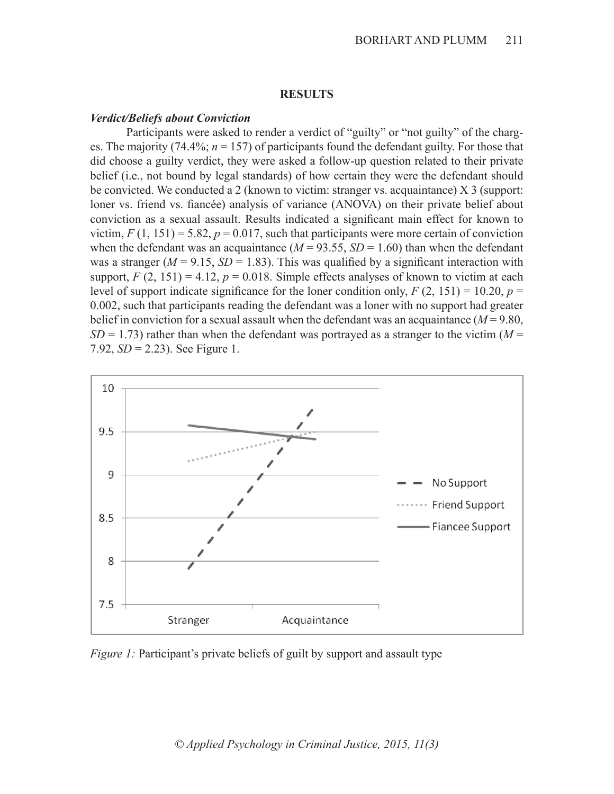### **RESULTS**

### *Verdict/Beliefs about Conviction*

Participants were asked to render a verdict of "guilty" or "not guilty" of the charges. The majority (74.4%;  $n = 157$ ) of participants found the defendant guilty. For those that did choose a guilty verdict, they were asked a follow-up question related to their private belief (i.e., not bound by legal standards) of how certain they were the defendant should be convicted. We conducted a 2 (known to victim: stranger vs. acquaintance) X 3 (support: loner vs. friend vs. fiancée) analysis of variance (ANOVA) on their private belief about conviction as a sexual assault. Results indicated a significant main effect for known to victim,  $F(1, 151) = 5.82$ ,  $p = 0.017$ , such that participants were more certain of conviction when the defendant was an acquaintance  $(M = 93.55, SD = 1.60)$  than when the defendant was a stranger  $(M = 9.15, SD = 1.83)$ . This was qualified by a significant interaction with support,  $F(2, 151) = 4.12$ ,  $p = 0.018$ . Simple effects analyses of known to victim at each level of support indicate significance for the loner condition only,  $F(2, 151) = 10.20$ ,  $p =$ 0.002, such that participants reading the defendant was a loner with no support had greater belief in conviction for a sexual assault when the defendant was an acquaintance  $(M = 9.80)$ ,  $SD = 1.73$ ) rather than when the defendant was portrayed as a stranger to the victim ( $M =$ 7.92, *SD* = 2.23). See Figure 1.



*Figure 1:* Participant's private beliefs of guilt by support and assault type

*© Applied Psychology in Criminal Justice, 2015, 11(3)*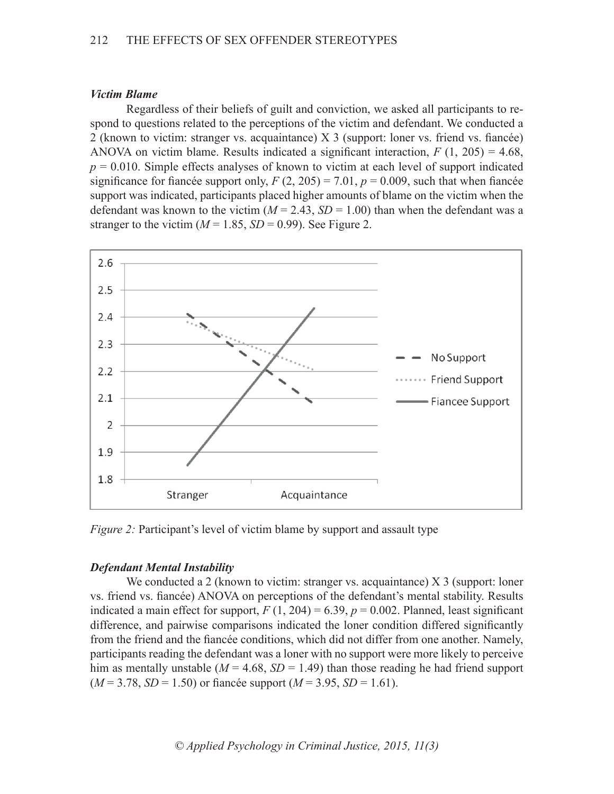### *Victim Blame*

Regardless of their beliefs of guilt and conviction, we asked all participants to respond to questions related to the perceptions of the victim and defendant. We conducted a 2 (known to victim: stranger vs. acquaintance) X 3 (support: loner vs. friend vs. fiancée) ANOVA on victim blame. Results indicated a significant interaction,  $F(1, 205) = 4.68$ ,  $p = 0.010$ . Simple effects analyses of known to victim at each level of support indicated significance for fiancée support only,  $F(2, 205) = 7.01$ ,  $p = 0.009$ , such that when fiancée support was indicated, participants placed higher amounts of blame on the victim when the defendant was known to the victim  $(M = 2.43, SD = 1.00)$  than when the defendant was a stranger to the victim  $(M = 1.85, SD = 0.99)$ . See Figure 2.



*Figure 2:* Participant's level of victim blame by support and assault type

# *Defendant Mental Instability*

We conducted a 2 (known to victim: stranger vs. acquaintance) X 3 (support: loner vs. friend vs. fiancée) ANOVA on perceptions of the defendant's mental stability. Results indicated a main effect for support,  $F(1, 204) = 6.39$ ,  $p = 0.002$ . Planned, least significant difference, and pairwise comparisons indicated the loner condition differed significantly from the friend and the fiancée conditions, which did not differ from one another. Namely, participants reading the defendant was a loner with no support were more likely to perceive him as mentally unstable ( $M = 4.68$ ,  $SD = 1.49$ ) than those reading he had friend support  $(M = 3.78, SD = 1.50)$  or fiancée support  $(M = 3.95, SD = 1.61)$ .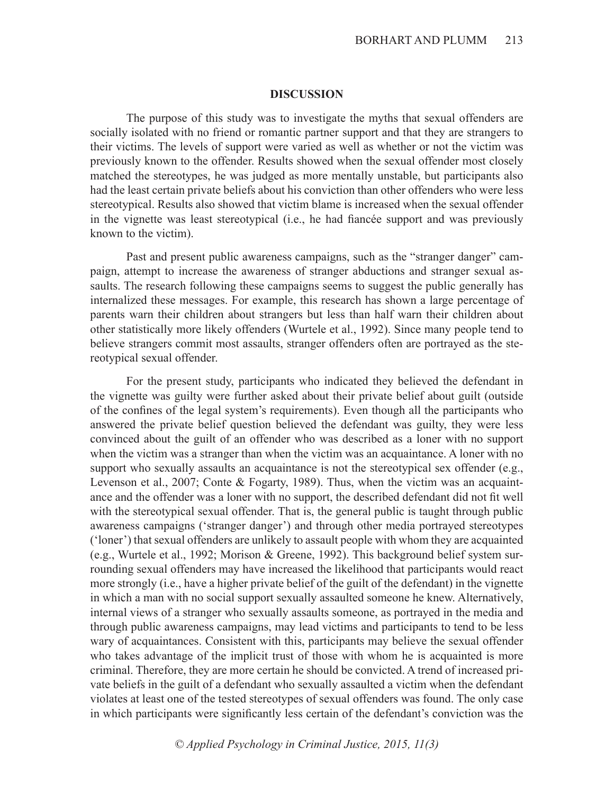### **DISCUSSION**

The purpose of this study was to investigate the myths that sexual offenders are socially isolated with no friend or romantic partner support and that they are strangers to their victims. The levels of support were varied as well as whether or not the victim was previously known to the offender. Results showed when the sexual offender most closely matched the stereotypes, he was judged as more mentally unstable, but participants also had the least certain private beliefs about his conviction than other offenders who were less stereotypical. Results also showed that victim blame is increased when the sexual offender in the vignette was least stereotypical (i.e., he had fiancée support and was previously known to the victim).

Past and present public awareness campaigns, such as the "stranger danger" campaign, attempt to increase the awareness of stranger abductions and stranger sexual assaults. The research following these campaigns seems to suggest the public generally has internalized these messages. For example, this research has shown a large percentage of parents warn their children about strangers but less than half warn their children about other statistically more likely offenders (Wurtele et al., 1992). Since many people tend to believe strangers commit most assaults, stranger offenders often are portrayed as the stereotypical sexual offender.

For the present study, participants who indicated they believed the defendant in the vignette was guilty were further asked about their private belief about guilt (outside of the confines of the legal system's requirements). Even though all the participants who answered the private belief question believed the defendant was guilty, they were less convinced about the guilt of an offender who was described as a loner with no support when the victim was a stranger than when the victim was an acquaintance. A loner with no support who sexually assaults an acquaintance is not the stereotypical sex offender (e.g., Levenson et al., 2007; Conte & Fogarty, 1989). Thus, when the victim was an acquaintance and the offender was a loner with no support, the described defendant did not fit well with the stereotypical sexual offender. That is, the general public is taught through public awareness campaigns ('stranger danger') and through other media portrayed stereotypes ('loner') that sexual offenders are unlikely to assault people with whom they are acquainted (e.g., Wurtele et al., 1992; Morison & Greene, 1992). This background belief system surrounding sexual offenders may have increased the likelihood that participants would react more strongly (i.e., have a higher private belief of the guilt of the defendant) in the vignette in which a man with no social support sexually assaulted someone he knew. Alternatively, internal views of a stranger who sexually assaults someone, as portrayed in the media and through public awareness campaigns, may lead victims and participants to tend to be less wary of acquaintances. Consistent with this, participants may believe the sexual offender who takes advantage of the implicit trust of those with whom he is acquainted is more criminal. Therefore, they are more certain he should be convicted. A trend of increased private beliefs in the guilt of a defendant who sexually assaulted a victim when the defendant violates at least one of the tested stereotypes of sexual offenders was found. The only case in which participants were significantly less certain of the defendant's conviction was the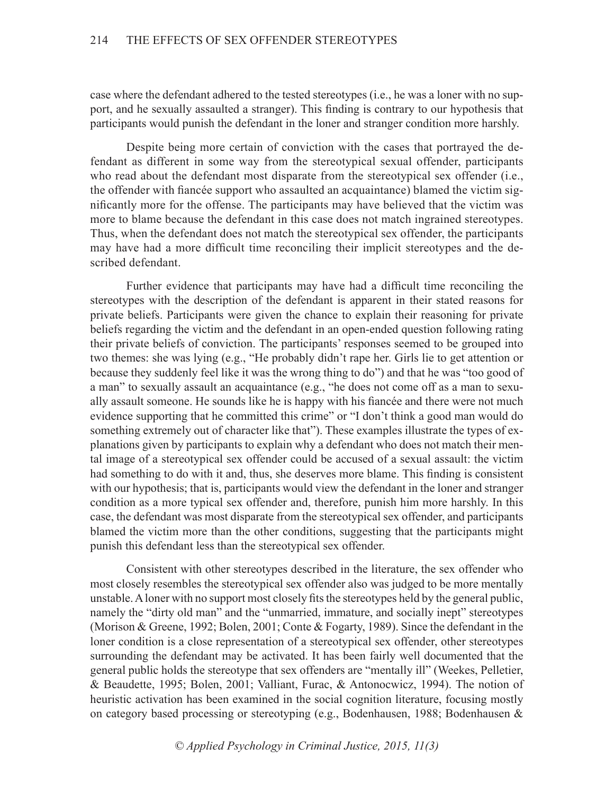case where the defendant adhered to the tested stereotypes (i.e., he was a loner with no support, and he sexually assaulted a stranger). This finding is contrary to our hypothesis that participants would punish the defendant in the loner and stranger condition more harshly.

Despite being more certain of conviction with the cases that portrayed the defendant as different in some way from the stereotypical sexual offender, participants who read about the defendant most disparate from the stereotypical sex offender (i.e., the offender with fiancée support who assaulted an acquaintance) blamed the victim significantly more for the offense. The participants may have believed that the victim was more to blame because the defendant in this case does not match ingrained stereotypes. Thus, when the defendant does not match the stereotypical sex offender, the participants may have had a more difficult time reconciling their implicit stereotypes and the described defendant.

Further evidence that participants may have had a difficult time reconciling the stereotypes with the description of the defendant is apparent in their stated reasons for private beliefs. Participants were given the chance to explain their reasoning for private beliefs regarding the victim and the defendant in an open-ended question following rating their private beliefs of conviction. The participants' responses seemed to be grouped into two themes: she was lying (e.g., "He probably didn't rape her. Girls lie to get attention or because they suddenly feel like it was the wrong thing to do") and that he was "too good of a man" to sexually assault an acquaintance (e.g., "he does not come off as a man to sexually assault someone. He sounds like he is happy with his fiancée and there were not much evidence supporting that he committed this crime" or "I don't think a good man would do something extremely out of character like that"). These examples illustrate the types of explanations given by participants to explain why a defendant who does not match their mental image of a stereotypical sex offender could be accused of a sexual assault: the victim had something to do with it and, thus, she deserves more blame. This finding is consistent with our hypothesis; that is, participants would view the defendant in the loner and stranger condition as a more typical sex offender and, therefore, punish him more harshly. In this case, the defendant was most disparate from the stereotypical sex offender, and participants blamed the victim more than the other conditions, suggesting that the participants might punish this defendant less than the stereotypical sex offender.

Consistent with other stereotypes described in the literature, the sex offender who most closely resembles the stereotypical sex offender also was judged to be more mentally unstable. A loner with no support most closely fits the stereotypes held by the general public, namely the "dirty old man" and the "unmarried, immature, and socially inept" stereotypes (Morison & Greene, 1992; Bolen, 2001; Conte & Fogarty, 1989). Since the defendant in the loner condition is a close representation of a stereotypical sex offender, other stereotypes surrounding the defendant may be activated. It has been fairly well documented that the general public holds the stereotype that sex offenders are "mentally ill" (Weekes, Pelletier, & Beaudette, 1995; Bolen, 2001; Valliant, Furac, & Antonocwicz, 1994). The notion of heuristic activation has been examined in the social cognition literature, focusing mostly on category based processing or stereotyping (e.g., Bodenhausen, 1988; Bodenhausen &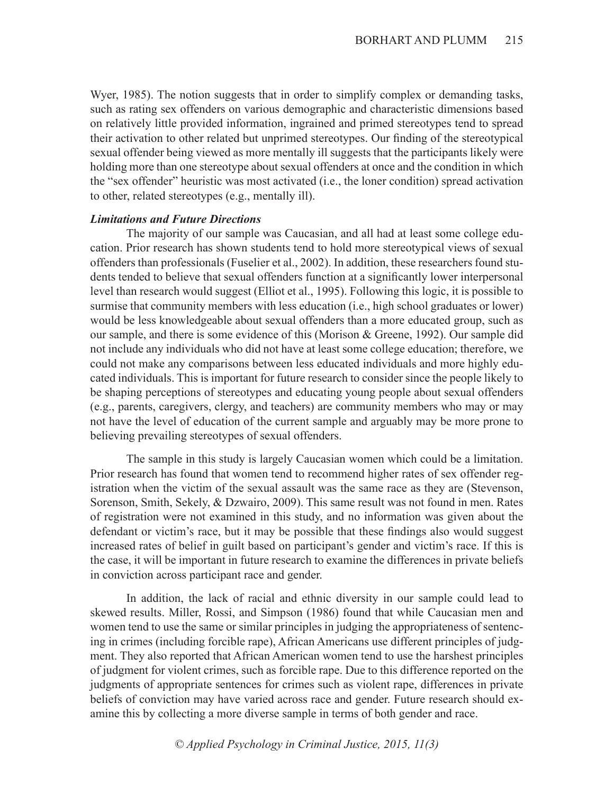Wyer, 1985). The notion suggests that in order to simplify complex or demanding tasks, such as rating sex offenders on various demographic and characteristic dimensions based on relatively little provided information, ingrained and primed stereotypes tend to spread their activation to other related but unprimed stereotypes. Our finding of the stereotypical sexual offender being viewed as more mentally ill suggests that the participants likely were holding more than one stereotype about sexual offenders at once and the condition in which the "sex offender" heuristic was most activated (i.e., the loner condition) spread activation to other, related stereotypes (e.g., mentally ill).

### *Limitations and Future Directions*

The majority of our sample was Caucasian, and all had at least some college education. Prior research has shown students tend to hold more stereotypical views of sexual offenders than professionals (Fuselier et al., 2002). In addition, these researchers found students tended to believe that sexual offenders function at a significantly lower interpersonal level than research would suggest (Elliot et al., 1995). Following this logic, it is possible to surmise that community members with less education (i.e., high school graduates or lower) would be less knowledgeable about sexual offenders than a more educated group, such as our sample, and there is some evidence of this (Morison & Greene, 1992). Our sample did not include any individuals who did not have at least some college education; therefore, we could not make any comparisons between less educated individuals and more highly educated individuals. This is important for future research to consider since the people likely to be shaping perceptions of stereotypes and educating young people about sexual offenders (e.g., parents, caregivers, clergy, and teachers) are community members who may or may not have the level of education of the current sample and arguably may be more prone to believing prevailing stereotypes of sexual offenders.

The sample in this study is largely Caucasian women which could be a limitation. Prior research has found that women tend to recommend higher rates of sex offender registration when the victim of the sexual assault was the same race as they are (Stevenson, Sorenson, Smith, Sekely, & Dzwairo, 2009). This same result was not found in men. Rates of registration were not examined in this study, and no information was given about the defendant or victim's race, but it may be possible that these findings also would suggest increased rates of belief in guilt based on participant's gender and victim's race. If this is the case, it will be important in future research to examine the differences in private beliefs in conviction across participant race and gender.

In addition, the lack of racial and ethnic diversity in our sample could lead to skewed results. Miller, Rossi, and Simpson (1986) found that while Caucasian men and women tend to use the same or similar principles in judging the appropriateness of sentencing in crimes (including forcible rape), African Americans use different principles of judgment. They also reported that African American women tend to use the harshest principles of judgment for violent crimes, such as forcible rape. Due to this difference reported on the judgments of appropriate sentences for crimes such as violent rape, differences in private beliefs of conviction may have varied across race and gender. Future research should examine this by collecting a more diverse sample in terms of both gender and race.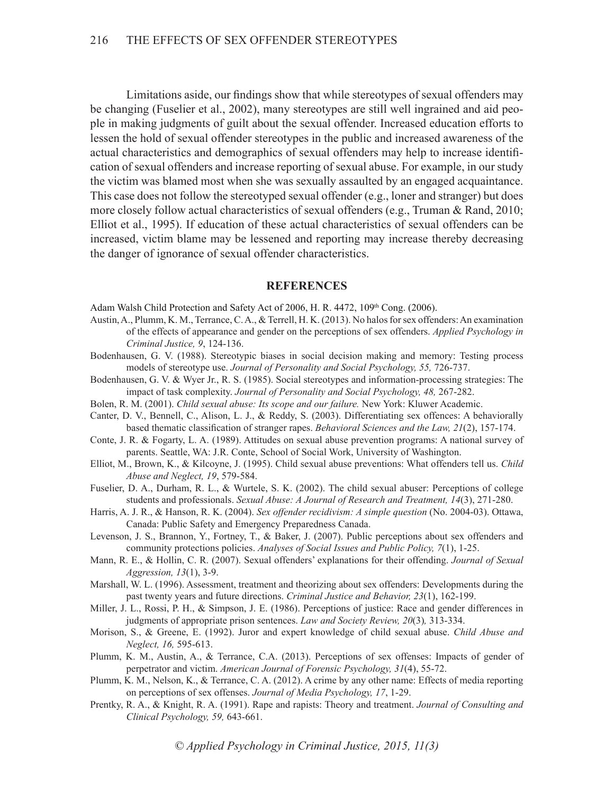Limitations aside, our findings show that while stereotypes of sexual offenders may be changing (Fuselier et al., 2002), many stereotypes are still well ingrained and aid people in making judgments of guilt about the sexual offender. Increased education efforts to lessen the hold of sexual offender stereotypes in the public and increased awareness of the actual characteristics and demographics of sexual offenders may help to increase identification of sexual offenders and increase reporting of sexual abuse. For example, in our study the victim was blamed most when she was sexually assaulted by an engaged acquaintance. This case does not follow the stereotyped sexual offender (e.g., loner and stranger) but does more closely follow actual characteristics of sexual offenders (e.g., Truman & Rand, 2010; Elliot et al., 1995). If education of these actual characteristics of sexual offenders can be increased, victim blame may be lessened and reporting may increase thereby decreasing the danger of ignorance of sexual offender characteristics.

#### **REFERENCES**

Adam Walsh Child Protection and Safety Act of 2006, H. R. 4472, 109<sup>th</sup> Cong. (2006).

- Austin, A., Plumm, K. M., Terrance, C. A., & Terrell, H. K. (2013). No halos for sex offenders: An examination of the effects of appearance and gender on the perceptions of sex offenders. *Applied Psychology in Criminal Justice, 9*, 124-136.
- Bodenhausen, G. V. (1988). Stereotypic biases in social decision making and memory: Testing process models of stereotype use. *Journal of Personality and Social Psychology, 55,* 726-737.
- Bodenhausen, G. V. & Wyer Jr., R. S. (1985). Social stereotypes and information-processing strategies: The impact of task complexity. *Journal of Personality and Social Psychology, 48,* 267-282.
- Bolen, R. M. (2001). *Child sexual abuse: Its scope and our failure.* New York: Kluwer Academic.
- Canter, D. V., Bennell, C., Alison, L. J., & Reddy, S. (2003). Differentiating sex offences: A behaviorally based thematic classification of stranger rapes. *Behavioral Sciences and the Law, 21*(2), 157-174.
- Conte, J. R. & Fogarty, L. A. (1989). Attitudes on sexual abuse prevention programs: A national survey of parents. Seattle, WA: J.R. Conte, School of Social Work, University of Washington.
- Elliot, M., Brown, K., & Kilcoyne, J. (1995). Child sexual abuse preventions: What offenders tell us. *Child Abuse and Neglect, 19*, 579-584.
- Fuselier, D. A., Durham, R. L., & Wurtele, S. K. (2002). The child sexual abuser: Perceptions of college students and professionals. *Sexual Abuse: A Journal of Research and Treatment, 14*(3), 271-280.
- Harris, A. J. R., & Hanson, R. K. (2004). *Sex offender recidivism: A simple question* (No. 2004-03). Ottawa, Canada: Public Safety and Emergency Preparedness Canada.
- Levenson, J. S., Brannon, Y., Fortney, T., & Baker, J. (2007). Public perceptions about sex offenders and community protections policies. *Analyses of Social Issues and Public Policy, 7*(1), 1-25.
- Mann, R. E., & Hollin, C. R. (2007). Sexual offenders' explanations for their offending. *Journal of Sexual Aggression, 13*(1), 3-9.
- Marshall, W. L. (1996). Assessment, treatment and theorizing about sex offenders: Developments during the past twenty years and future directions. *Criminal Justice and Behavior, 23*(1), 162-199.
- Miller, J. L., Rossi, P. H., & Simpson, J. E. (1986). Perceptions of justice: Race and gender differences in judgments of appropriate prison sentences. *Law and Society Review, 20*(3)*,* 313-334.
- Morison, S., & Greene, E. (1992). Juror and expert knowledge of child sexual abuse. *Child Abuse and Neglect, 16,* 595-613.
- Plumm, K. M., Austin, A., & Terrance, C.A. (2013). Perceptions of sex offenses: Impacts of gender of perpetrator and victim. *American Journal of Forensic Psychology, 31*(4), 55-72.
- Plumm, K. M., Nelson, K., & Terrance, C. A. (2012). A crime by any other name: Effects of media reporting on perceptions of sex offenses. *Journal of Media Psychology, 17*, 1-29.
- Prentky, R. A., & Knight, R. A. (1991). Rape and rapists: Theory and treatment. *Journal of Consulting and Clinical Psychology, 59,* 643-661.

*© Applied Psychology in Criminal Justice, 2015, 11(3)*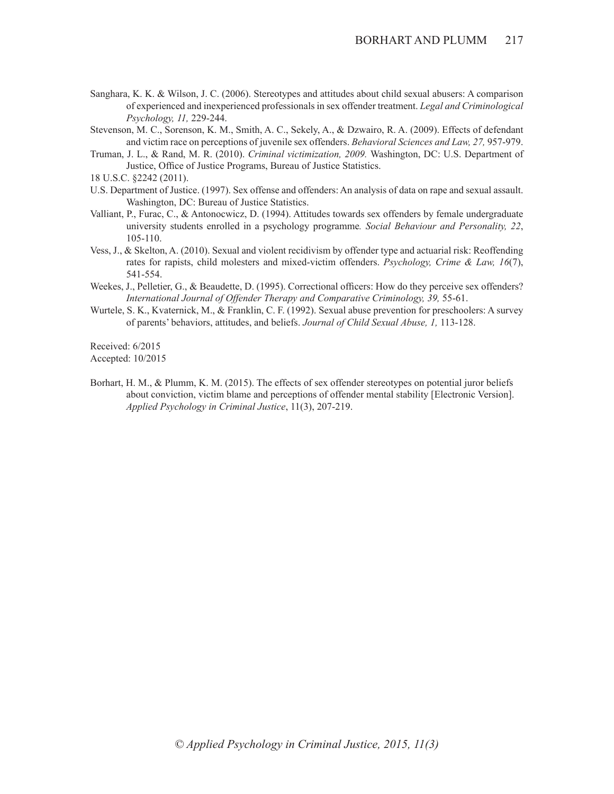- Sanghara, K. K. & Wilson, J. C. (2006). Stereotypes and attitudes about child sexual abusers: A comparison of experienced and inexperienced professionals in sex offender treatment. *Legal and Criminological Psychology, 11,* 229-244.
- Stevenson, M. C., Sorenson, K. M., Smith, A. C., Sekely, A., & Dzwairo, R. A. (2009). Effects of defendant and victim race on perceptions of juvenile sex offenders. *Behavioral Sciences and Law, 27,* 957-979.
- Truman, J. L., & Rand, M. R. (2010). *Criminal victimization, 2009.* Washington, DC: U.S. Department of Justice, Office of Justice Programs, Bureau of Justice Statistics.
- 18 U.S.C. §2242 (2011).
- U.S. Department of Justice. (1997). Sex offense and offenders: An analysis of data on rape and sexual assault. Washington, DC: Bureau of Justice Statistics.
- Valliant, P., Furac, C., & Antonocwicz, D. (1994). Attitudes towards sex offenders by female undergraduate university students enrolled in a psychology programme*. Social Behaviour and Personality, 22*, 105-110.
- Vess, J., & Skelton, A. (2010). Sexual and violent recidivism by offender type and actuarial risk: Reoffending rates for rapists, child molesters and mixed-victim offenders. *Psychology, Crime & Law, 16*(7), 541-554.
- Weekes, J., Pelletier, G., & Beaudette, D. (1995). Correctional officers: How do they perceive sex offenders? *International Journal of Offender Therapy and Comparative Criminology, 39,* 55-61.
- Wurtele, S. K., Kvaternick, M., & Franklin, C. F. (1992). Sexual abuse prevention for preschoolers: A survey of parents' behaviors, attitudes, and beliefs. *Journal of Child Sexual Abuse, 1,* 113-128.

Received: 6/2015

Accepted: 10/2015

Borhart, H. M., & Plumm, K. M. (2015). The effects of sex offender stereotypes on potential juror beliefs about conviction, victim blame and perceptions of offender mental stability [Electronic Version]. *Applied Psychology in Criminal Justice*, 11(3), 207-219.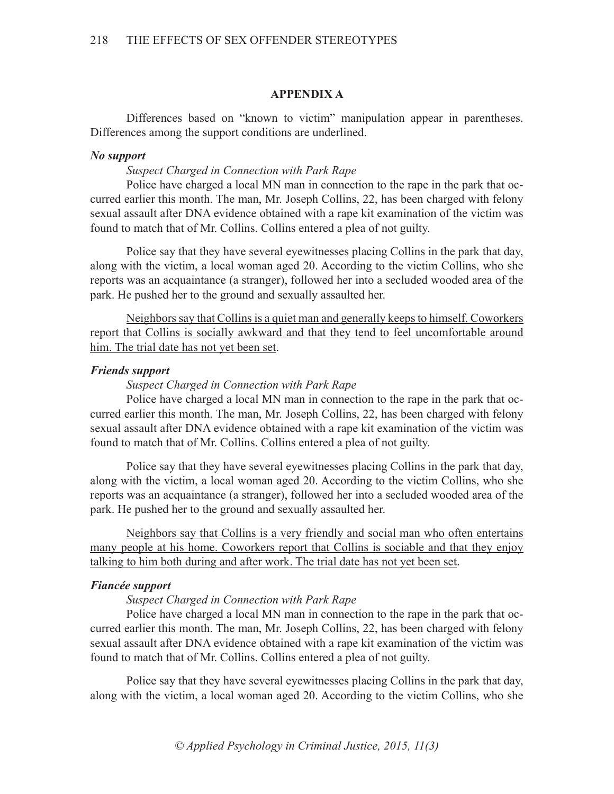### **APPENDIX A**

Differences based on "known to victim" manipulation appear in parentheses. Differences among the support conditions are underlined.

### *No support*

### *Suspect Charged in Connection with Park Rape*

Police have charged a local MN man in connection to the rape in the park that occurred earlier this month. The man, Mr. Joseph Collins, 22, has been charged with felony sexual assault after DNA evidence obtained with a rape kit examination of the victim was found to match that of Mr. Collins. Collins entered a plea of not guilty.

Police say that they have several eyewitnesses placing Collins in the park that day, along with the victim, a local woman aged 20. According to the victim Collins, who she reports was an acquaintance (a stranger), followed her into a secluded wooded area of the park. He pushed her to the ground and sexually assaulted her.

Neighbors say that Collins is a quiet man and generally keeps to himself. Coworkers report that Collins is socially awkward and that they tend to feel uncomfortable around him. The trial date has not yet been set.

# *Friends support*

### *Suspect Charged in Connection with Park Rape*

Police have charged a local MN man in connection to the rape in the park that occurred earlier this month. The man, Mr. Joseph Collins, 22, has been charged with felony sexual assault after DNA evidence obtained with a rape kit examination of the victim was found to match that of Mr. Collins. Collins entered a plea of not guilty.

Police say that they have several eyewitnesses placing Collins in the park that day, along with the victim, a local woman aged 20. According to the victim Collins, who she reports was an acquaintance (a stranger), followed her into a secluded wooded area of the park. He pushed her to the ground and sexually assaulted her.

Neighbors say that Collins is a very friendly and social man who often entertains many people at his home. Coworkers report that Collins is sociable and that they enjoy talking to him both during and after work. The trial date has not yet been set.

### *Fiancée support*

### *Suspect Charged in Connection with Park Rape*

Police have charged a local MN man in connection to the rape in the park that occurred earlier this month. The man, Mr. Joseph Collins, 22, has been charged with felony sexual assault after DNA evidence obtained with a rape kit examination of the victim was found to match that of Mr. Collins. Collins entered a plea of not guilty.

Police say that they have several eyewitnesses placing Collins in the park that day, along with the victim, a local woman aged 20. According to the victim Collins, who she